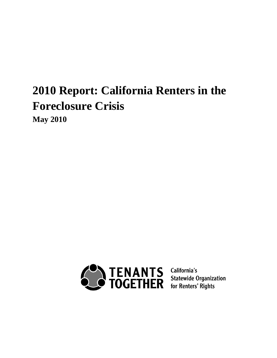# **2010 Report: California Renters in the Foreclosure Crisis**

**May 2010**

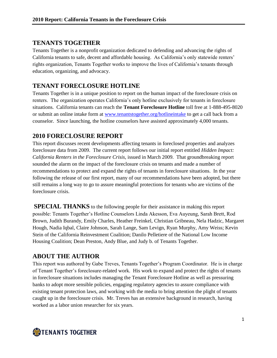### **TENANTS TOGETHER**

Tenants Together is a nonprofit organization dedicated to defending and advancing the rights of California tenants to safe, decent and affordable housing. As California"s only statewide renters" rights organization, Tenants Together works to improve the lives of California"s tenants through education, organizing, and advocacy.

# **TENANT FORECLOSURE HOTLINE**

Tenants Together is in a unique position to report on the human impact of the foreclosure crisis on renters. The organization operates California"s only hotline exclusively for tenants in foreclosure situations. California tenants can reach the **Tenant Foreclosure Hotline** toll free at 1-888-495-8020 or submit an online intake form at [www.tenantstogether.org/hotlineintake](http://www.tenantstogether.org/hotlineintake) to get a call back from a counselor. Since launching, the hotline counselors have assisted approximately 4,000 tenants.

## **2010 FORECLOSURE REPORT**

This report discusses recent developments affecting tenants in foreclosed properties and analyzes foreclosure data from 2009. The current report follows our initial report entitled *Hidden Impact: California Renters in the Foreclosure Crisis,* issued in March 2009. That groundbreaking report sounded the alarm on the impact of the foreclosure crisis on tenants and made a number of recommendations to protect and expand the rights of tenants in foreclosure situations. In the year following the release of our first report, many of our recommendations have been adopted, but there still remains a long way to go to assure meaningful protections for tenants who are victims of the foreclosure crisis.

**SPECIAL THANKS** to the following people for their assistance in making this report possible: Tenants Together"s Hotline Counselors Linda Akesson, Eva Auyeung, Sarah Brett, Rod Brown, Judith Burandy, Emily Charles, Heather Freinkel, Christian Gribneau, Nela Hadzic, Margaret Hough, Nadia Iqbal, Claire Johnson, Sarah Lange, Sam Levign, Ryan Murphy, Amy Weiss; Kevin Stein of the California Reinvestment Coalition; Danilo Pelletiere of the National Low Income Housing Coalition; Dean Preston, Andy Blue, and Judy b. of Tenants Together.

# **ABOUT THE AUTHOR**

This report was authored by Gabe Treves, Tenants Together's Program Coordinator. He is in charge of Tenant Together's foreclosure-related work. His work to expand and protect the rights of tenants in foreclosure situations includes managing the Tenant Foreclosure Hotline as well as pressuring banks to adopt more sensible policies, engaging regulatory agencies to assure compliance with existing tenant protection laws, and working with the media to bring attention the plight of tenants caught up in the foreclosure crisis. Mr. Treves has an extensive background in research, having worked as a labor union researcher for six years.

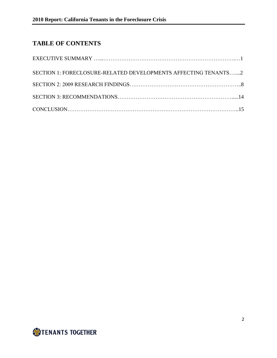# **TABLE OF CONTENTS**

| SECTION 1: FORECLOSURE-RELATED DEVELOPMENTS AFFECTING TENANTS2 |  |
|----------------------------------------------------------------|--|
|                                                                |  |
|                                                                |  |
|                                                                |  |

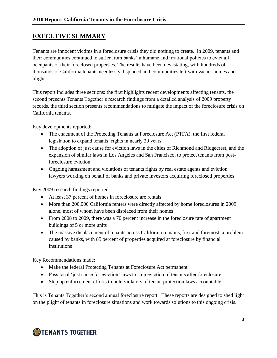# **EXECUTIVE SUMMARY**

Tenants are innocent victims in a foreclosure crisis they did nothing to create. In 2009, tenants and their communities continued to suffer from banks" inhumane and irrational policies to evict all occupants of their foreclosed properties. The results have been devastating, with hundreds of thousands of California tenants needlessly displaced and communities left with vacant homes and blight.

This report includes three sections: the first highlights recent developments affecting tenants, the second presents Tenants Together's research findings from a detailed analysis of 2009 property records, the third section presents recommendations to mitigate the impact of the foreclosure crisis on California tenants.

Key developments reported:

- The enactment of the Protecting Tenants at Foreclosure Act (PTFA), the first federal legislation to expand tenants' rights in nearly 20 years
- The adoption of just cause for eviction laws in the cities of Richmond and Ridgecrest, and the expansion of similar laws in Los Angeles and San Francisco, to protect tenants from postforeclosure eviction
- Ongoing harassment and violations of tenants rights by real estate agents and eviction lawyers working on behalf of banks and private investors acquiring foreclosed properties

Key 2009 research findings reported:

- At least 37 percent of homes in foreclosure are rentals
- More than 200,000 California renters were directly affected by home foreclosures in 2009 alone, most of whom have been displaced from their homes
- From 2008 to 2009, there was a 70 percent increase in the foreclosure rate of apartment buildings of 5 or more units
- The massive displacement of tenants across California remains, first and foremost, a problem caused by banks, with 85 percent of properties acquired at foreclosure by financial institutions

Key Recommendations made:

- Make the federal Protecting Tenants at Foreclosure Act permanent
- Pass local 'just cause for eviction' laws to stop eviction of tenants after foreclosure
- Step up enforcement efforts to hold violators of tenant protection laws accountable

This is Tenants Together"s second annual foreclosure report. These reports are designed to shed light on the plight of tenants in foreclosure situations and work towards solutions to this ongoing crisis.

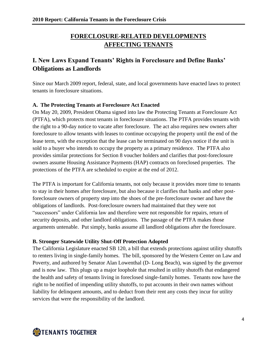# **FORECLOSURE-RELATED DEVELOPMENTS AFFECTING TENANTS**

# **I. New Laws Expand Tenants' Rights in Foreclosure and Define Banks' Obligations as Landlords**

Since our March 2009 report, federal, state, and local governments have enacted laws to protect tenants in foreclosure situations.

#### **A. The Protecting Tenants at Foreclosure Act Enacted**

On May 20, 2009, President Obama signed into law the Protecting Tenants at Foreclosure Act (PTFA), which protects most tenants in foreclosure situations. The PTFA provides tenants with the right to a 90-day notice to vacate after foreclosure. The act also requires new owners after foreclosure to allow tenants with leases to continue occupying the property until the end of the lease term, with the exception that the lease can be terminated on 90 days notice if the unit is sold to a buyer who intends to occupy the property as a primary residence. The PTFA also provides similar protections for Section 8 voucher holders and clarifies that post-foreclosure owners assume Housing Assistance Payments (HAP) contracts on foreclosed properties. The protections of the PTFA are scheduled to expire at the end of 2012.

The PTFA is important for California tenants, not only because it provides more time to tenants to stay in their homes after foreclosure, but also because it clarifies that banks and other postforeclosure owners of property step into the shoes of the pre-foreclosure owner and have the obligations of landlords. Post-foreclosure owners had maintained that they were not "successors" under California law and therefore were not responsible for repairs, return of security deposits, and other landlord obligations. The passage of the PTFA makes those arguments untenable. Put simply, banks assume all landlord obligations after the foreclosure.

#### **B. Stronger Statewide Utility Shut-Off Protection Adopted**

The California Legislature enacted SB 120, a bill that extends protections against utility shutoffs to renters living in single-family homes. The bill, sponsored by the Western Center on Law and Poverty, and authored by Senator Alan Lowenthal (D- Long Beach), was signed by the governor and is now law. This plugs up a major loophole that resulted in utility shutoffs that endangered the health and safety of tenants living in foreclosed single-family homes. Tenants now have the right to be notified of impending utility shutoffs, to put accounts in their own names without liability for delinquent amounts, and to deduct from their rent any costs they incur for utility services that were the responsibility of the landlord.

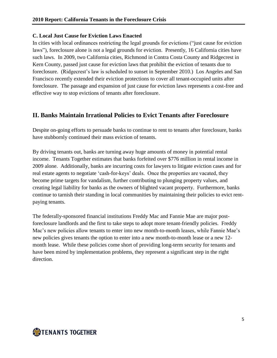#### **C. Local Just Cause for Eviction Laws Enacted**

In cities with local ordinances restricting the legal grounds for evictions ("just cause for eviction laws"), foreclosure alone is not a legal grounds for eviction. Presently, 16 California cities have such laws. In 2009, two California cities, Richmond in Contra Costa County and Ridgecrest in Kern County, passed just cause for eviction laws that prohibit the eviction of tenants due to foreclosure. (Ridgecrest"s law is scheduled to sunset in September 2010.) Los Angeles and San Francisco recently extended their eviction protections to cover all tenant-occupied units after foreclosure. The passage and expansion of just cause for eviction laws represents a cost-free and effective way to stop evictions of tenants after foreclosure.

## **II. Banks Maintain Irrational Policies to Evict Tenants after Foreclosure**

Despite on-going efforts to persuade banks to continue to rent to tenants after foreclosure, banks have stubbornly continued their mass eviction of tenants.

By driving tenants out, banks are turning away huge amounts of money in potential rental income. Tenants Together estimates that banks forfeited over \$776 million in rental income in 2009 alone. Additionally, banks are incurring costs for lawyers to litigate eviction cases and for real estate agents to negotiate 'cash-for-keys' deals. Once the properties are vacated, they become prime targets for vandalism, further contributing to plunging property values, and creating legal liability for banks as the owners of blighted vacant property. Furthermore, banks continue to tarnish their standing in local communities by maintaining their policies to evict rentpaying tenants.

The federally-sponsored financial institutions Freddy Mac and Fannie Mae are major postforeclosure landlords and the first to take steps to adopt more tenant-friendly policies. Freddy Mac's new policies allow tenants to enter into new month-to-month leases, while Fannie Mae's new policies gives tenants the option to enter into a new month-to-month lease or a new 12 month lease. While these policies come short of providing long-term security for tenants and have been mired by implementation problems, they represent a significant step in the right direction.

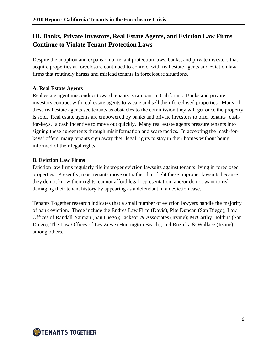# **III. Banks, Private Investors, Real Estate Agents, and Eviction Law Firms Continue to Violate Tenant-Protection Laws**

Despite the adoption and expansion of tenant protection laws, banks, and private investors that acquire properties at foreclosure continued to contract with real estate agents and eviction law firms that routinely harass and mislead tenants in foreclosure situations.

#### **A. Real Estate Agents**

Real estate agent misconduct toward tenants is rampant in California. Banks and private investors contract with real estate agents to vacate and sell their foreclosed properties. Many of these real estate agents see tenants as obstacles to the commission they will get once the property is sold. Real estate agents are empowered by banks and private investors to offer tenants "cashfor-keys,' a cash incentive to move out quickly. Many real estate agents pressure tenants into signing these agreements through misinformation and scare tactics. In accepting the "cash-forkeys" offers, many tenants sign away their legal rights to stay in their homes without being informed of their legal rights.

#### **B. Eviction Law Firms**

Eviction law firms regularly file improper eviction lawsuits against tenants living in foreclosed properties. Presently, most tenants move out rather than fight these improper lawsuits because they do not know their rights, cannot afford legal representation, and/or do not want to risk damaging their tenant history by appearing as a defendant in an eviction case.

Tenants Together research indicates that a small number of eviction lawyers handle the majority of bank eviction. These include the Endres Law Firm (Davis); Pite Duncan (San Diego); Law Offices of Randall Naiman (San Diego); Jackson & Associates (Irvine); McCarthy Holthus (San Diego); The Law Offices of Les Zieve (Huntington Beach); and Ruzicka & Wallace (Irvine), among others.

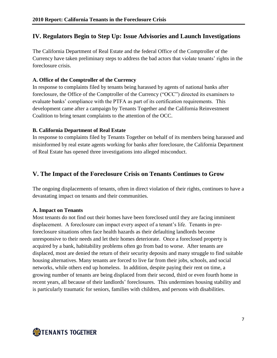## **IV. Regulators Begin to Step Up: Issue Advisories and Launch Investigations**

The California Department of Real Estate and the federal Office of the Comptroller of the Currency have taken preliminary steps to address the bad actors that violate tenants" rights in the foreclosure crisis.

#### **A. Office of the Comptroller of the Currency**

In response to complaints filed by tenants being harassed by agents of national banks after foreclosure, the Office of the Comptroller of the Currency ("OCC") directed its examiners to evaluate banks' compliance with the PTFA as part of its certification requirements. This development came after a campaign by Tenants Together and the California Reinvestment Coalition to bring tenant complaints to the attention of the OCC.

#### **B. California Department of Real Estate**

In response to complaints filed by Tenants Together on behalf of its members being harassed and misinformed by real estate agents working for banks after foreclosure, the California Department of Real Estate has opened three investigations into alleged misconduct.

## **V. The Impact of the Foreclosure Crisis on Tenants Continues to Grow**

The ongoing displacements of tenants, often in direct violation of their rights, continues to have a devastating impact on tenants and their communities.

#### **A. Impact on Tenants**

Most tenants do not find out their homes have been foreclosed until they are facing imminent displacement. A foreclosure can impact every aspect of a tenant's life. Tenants in preforeclosure situations often face health hazards as their defaulting landlords become unresponsive to their needs and let their homes deteriorate. Once a foreclosed property is acquired by a bank, habitability problems often go from bad to worse. After tenants are displaced, most are denied the return of their security deposits and many struggle to find suitable housing alternatives. Many tenants are forced to live far from their jobs, schools, and social networks, while others end up homeless. In addition, despite paying their rent on time, a growing number of tenants are being displaced from their second, third or even fourth home in recent years, all because of their landlords' foreclosures. This undermines housing stability and is particularly traumatic for seniors, families with children, and persons with disabilities.

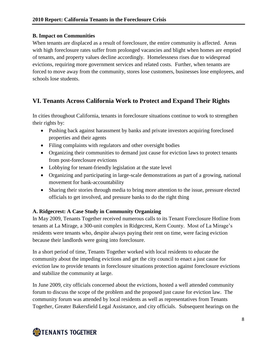#### **B. Impact on Communities**

When tenants are displaced as a result of foreclosure, the entire community is affected. Areas with high foreclosure rates suffer from prolonged vacancies and blight when homes are emptied of tenants, and property values decline accordingly. Homelessness rises due to widespread evictions, requiring more government services and related costs. Further, when tenants are forced to move away from the community, stores lose customers, businesses lose employees, and schools lose students.

# **VI. Tenants Across California Work to Protect and Expand Their Rights**

In cities throughout California, tenants in foreclosure situations continue to work to strengthen their rights by:

- Pushing back against harassment by banks and private investors acquiring foreclosed properties and their agents
- Filing complaints with regulators and other oversight bodies
- Organizing their communities to demand just cause for eviction laws to protect tenants from post-foreclosure evictions
- Lobbying for tenant-friendly legislation at the state level
- Organizing and participating in large-scale demonstrations as part of a growing, national movement for bank-accountability
- Sharing their stories through media to bring more attention to the issue, pressure elected officials to get involved, and pressure banks to do the right thing

#### **A. Ridgecrest: A Case Study in Community Organizing**

In May 2009, Tenants Together received numerous calls to its Tenant Foreclosure Hotline from tenants at La Mirage, a 300-unit complex in Ridgecrest, Kern County. Most of La Mirage"s residents were tenants who, despite always paying their rent on time, were facing eviction because their landlords were going into foreclosure.

In a short period of time, Tenants Together worked with local residents to educate the community about the impeding evictions and get the city council to enact a just cause for eviction law to provide tenants in foreclosure situations protection against foreclosure evictions and stabilize the community at large.

In June 2009, city officials concerned about the evictions, hosted a well attended community forum to discuss the scope of the problem and the proposed just cause for eviction law. The community forum was attended by local residents as well as representatives from Tenants Together, Greater Bakersfield Legal Assistance, and city officials. Subsequent hearings on the

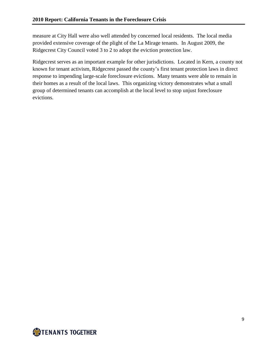measure at City Hall were also well attended by concerned local residents. The local media provided extensive coverage of the plight of the La Mirage tenants. In August 2009, the Ridgecrest City Council voted 3 to 2 to adopt the eviction protection law.

Ridgecrest serves as an important example for other jurisdictions. Located in Kern, a county not known for tenant activism, Ridgecrest passed the county"s first tenant protection laws in direct response to impending large-scale foreclosure evictions. Many tenants were able to remain in their homes as a result of the local laws. This organizing victory demonstrates what a small group of determined tenants can accomplish at the local level to stop unjust foreclosure evictions.

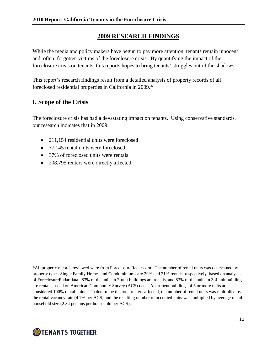# **2009 RESEARCH FINDINGS**

While the media and policy makers have begun to pay more attention, tenants remain innocent and, often, forgotten victims of the foreclosure crisis. By quantifying the impact of the foreclosure crisis on tenants, this reports hopes to bring tenants' struggles out of the shadows.

This report"s research findings result from a detailed analysis of property records of all foreclosed residential properties in California in 2009.\*

## **I. Scope of the Crisis**

The foreclosure crisis has had a devastating impact on tenants. Using conservative standards, our research indicates that in 2009:

- 211,154 residential units were foreclosed
- 77,145 rental units were foreclosed
- 37% of foreclosed units were rentals
- 208,795 renters were directly affected

\*All property records reviewed were from ForeclosureRadar.com. The number of rental units was determined by property type. Single Family Homes and Condominiums are 29% and 31% rentals, respectively, based on analyses of ForeclosureRadar data. 83% of the units in 2-unit buildings are rentals, and 83% of the units in 3-4 unit buildings are rentals, based on American Community Survey (ACS) data. Apartment buildings of 5 or more units are considered 100% rental units. To determine the total renters affected, the number of rental units was multiplied by the rental vacancy rate (4.7% per ACS) and the resulting number of occupied units was multiplied by average rental household size (2.84 persons per household per ACS).

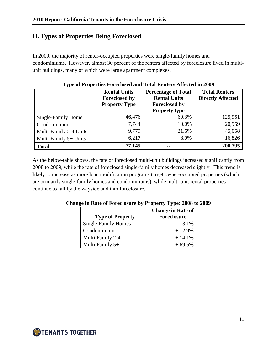# **II. Types of Properties Being Foreclosed**

In 2009, the majority of renter-occupied properties were single-family homes and condominiums. However, almost 30 percent of the renters affected by foreclosure lived in multiunit buildings, many of which were large apartment complexes.

|                        | <b>Rental Units</b><br><b>Foreclosed by</b><br><b>Property Type</b> | <b>Percentage of Total</b><br><b>Rental Units</b><br><b>Foreclosed by</b><br><b>Property type</b> | <b>Total Renters</b><br><b>Directly Affected</b> |
|------------------------|---------------------------------------------------------------------|---------------------------------------------------------------------------------------------------|--------------------------------------------------|
| Single-Family Home     | 46,476                                                              | 60.3%                                                                                             | 125,951                                          |
| Condominium            | 7,744                                                               | 10.0%                                                                                             | 20,959                                           |
| Multi Family 2-4 Units | 9,779                                                               | 21.6%                                                                                             | 45,058                                           |
| Multi Family 5+ Units  | 6,217                                                               | 8.0%                                                                                              | 16,826                                           |
| <b>Total</b>           | 77,145                                                              | $- -$                                                                                             | 208,795                                          |

As the below-table shows, the rate of foreclosed multi-unit buildings increased significantly from 2008 to 2009, while the rate of foreclosed single-family homes decreased slightly. This trend is likely to increase as more loan modification programs target owner-occupied properties (which are primarily single-family homes and condominiums), while multi-unit rental properties continue to fall by the wayside and into foreclosure.

| <b>Type of Property</b> | <b>Change in Rate of</b><br><b>Foreclosure</b> |
|-------------------------|------------------------------------------------|
| Single-Family Homes     | $-3.1%$                                        |
| Condominium             | $+12.9%$                                       |
| Multi Family 2-4        | $+14.1%$                                       |
| Multi Family 5+         | $+69.5%$                                       |

**Change in Rate of Foreclosure by Property Type: 2008 to 2009**

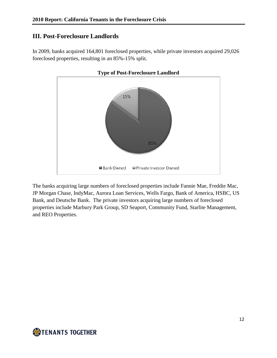## **III. Post-Foreclosure Landlords**

In 2009, banks acquired 164,801 foreclosed properties, while private investors acquired 29,026 foreclosed properties, resulting in an 85%-15% split.



The banks acquiring large numbers of foreclosed properties include Fannie Mae, Freddie Mac, JP Morgan Chase, IndyMac, Aurora Loan Services, Wells Fargo, Bank of America, HSBC, US Bank, and Deutsche Bank. The private investors acquiring large numbers of foreclosed properties include Marbury Park Group, SD Seaport, Community Fund, Starlite Management, and REO Properties.

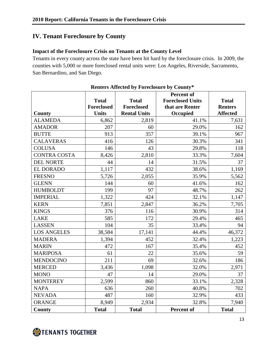# **IV. Tenant Foreclosure by County**

#### **Impact of the Foreclosure Crisis on Tenants at the County Level**

Tenants in every county across the state have been hit hard by the foreclosure crisis. In 2009, the counties with 5,000 or more foreclosed rental units were: Los Angeles, Riverside, Sacramento, San Bernardino, and San Diego.

|                     |                   |                     | <b>Percent of</b>       |                 |
|---------------------|-------------------|---------------------|-------------------------|-----------------|
|                     | <b>Total</b>      | <b>Total</b>        | <b>Foreclosed Units</b> | <b>Total</b>    |
|                     | <b>Foreclosed</b> | <b>Foreclosed</b>   | that are Renter         | <b>Renters</b>  |
| <b>County</b>       | <b>Units</b>      | <b>Rental Units</b> | Occupied                | <b>Affected</b> |
| <b>ALAMEDA</b>      | 6,862             | 2,819               | 41.1%                   | 7,631           |
| <b>AMADOR</b>       | 207               | 60                  | 29.0%                   | 162             |
| <b>BUTTE</b>        | 913               | 357                 | 39.1%                   | 967             |
| <b>CALAVERAS</b>    | 416               | 126                 | 30.3%                   | 341             |
| <b>COLUSA</b>       | 146               | 43                  | 29.8%                   | 118             |
| <b>CONTRA COSTA</b> | 8,426             | 2,810               | 33.3%                   | 7,604           |
| <b>DEL NORTE</b>    | 44                | 14                  | 31.5%                   | 37              |
| <b>EL DORADO</b>    | 1,117             | 432                 | 38.6%                   | 1,169           |
| <b>FRESNO</b>       | 5,726             | 2,055               | 35.9%                   | 5,562           |
| <b>GLENN</b>        | 144               | 60                  | 41.6%                   | 162             |
| <b>HUMBOLDT</b>     | 199               | 97                  | 48.7%                   | 262             |
| <b>IMPERIAL</b>     | 1,322             | 424                 | 32.1%                   | 1,147           |
| <b>KERN</b>         | 7,851             | 2,847               | 36.2%                   | 7,705           |
| <b>KINGS</b>        | 376               | 116                 | 30.9%                   | 314             |
| <b>LAKE</b>         | 585               | 172                 | 29.4%                   | 465             |
| <b>LASSEN</b>       | 104               | 35                  | 33.4%                   | 94              |
| <b>LOS ANGELES</b>  | 38,584            | 17,141              | 44.4%                   | 46,372          |
| <b>MADERA</b>       | 1,394             | 452                 | 32.4%                   | 1,223           |
| <b>MARIN</b>        | 472               | 167                 | 35.4%                   | 452             |
| <b>MARIPOSA</b>     | 61                | 22                  | 35.6%                   | 59              |
| <b>MENDOCINO</b>    | 211               | 69                  | 32.6%                   | 186             |
| <b>MERCED</b>       | 3,436             | 1,098               | 32.0%                   | 2,971           |
| <b>MONO</b>         | 47                | 14                  | 29.0%                   | 37              |
| <b>MONTEREY</b>     | 2,599             | 860                 | 33.1%                   | 2,328           |
| <b>NAPA</b>         | 636               | 260                 | 40.8%                   | 702             |
| <b>NEVADA</b>       | 487               | 160                 | 32.9%                   | 433             |
| <b>ORANGE</b>       | 8,949             | 2,934               | 32.8%                   | 7,940           |
| <b>County</b>       | <b>Total</b>      | <b>Total</b>        | Percent of              | <b>Total</b>    |

**Renters Affected by Foreclosure by County\***

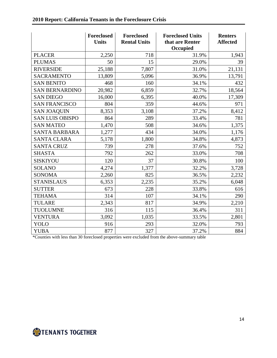|                        | Foreclosed<br><b>Units</b> | Foreclosed<br><b>Rental Units</b> | <b>Foreclosed Units</b><br>that are Renter<br>Occupied | <b>Renters</b><br><b>Affected</b> |
|------------------------|----------------------------|-----------------------------------|--------------------------------------------------------|-----------------------------------|
| <b>PLACER</b>          | 2,250                      | 718                               | 31.9%                                                  | 1,943                             |
| <b>PLUMAS</b>          | 50                         | 15                                | 29.0%                                                  | 39                                |
| <b>RIVERSIDE</b>       | 25,188                     | 7,807                             | 31.0%                                                  | 21,131                            |
| <b>SACRAMENTO</b>      | 13,809                     | 5,096                             | 36.9%                                                  | 13,791                            |
| <b>SAN BENITO</b>      | 468                        | 160                               | 34.1%                                                  | 432                               |
| <b>SAN BERNARDINO</b>  | 20,982                     | 6,859                             | 32.7%                                                  | 18,564                            |
| <b>SAN DIEGO</b>       | 16,000                     | 6,395                             | 40.0%                                                  | 17,309                            |
| <b>SAN FRANCISCO</b>   | 804                        | 359                               | 44.6%                                                  | 971                               |
| <b>SAN JOAQUIN</b>     | 8,353                      | 3,108                             | 37.2%                                                  | 8,412                             |
| <b>SAN LUIS OBISPO</b> | 864                        | 289                               | 33.4%                                                  | 781                               |
| <b>SAN MATEO</b>       | 1,470                      | 508                               | 34.6%                                                  | 1,375                             |
| <b>SANTA BARBARA</b>   | 1,277                      | 434                               | 34.0%                                                  | 1,176                             |
| <b>SANTA CLARA</b>     | 5,178                      | 1,800                             | 34.8%                                                  | 4,873                             |
| <b>SANTA CRUZ</b>      | 739                        | 278                               | 37.6%                                                  | 752                               |
| <b>SHASTA</b>          | 792                        | 262                               | 33.0%                                                  | 708                               |
| <b>SISKIYOU</b>        | 120                        | 37                                | 30.8%                                                  | 100                               |
| <b>SOLANO</b>          | 4,274                      | 1,377                             | 32.2%                                                  | 3,728                             |
| <b>SONOMA</b>          | 2,260                      | 825                               | 36.5%                                                  | 2,232                             |
| <b>STANISLAUS</b>      | 6,353                      | 2,235                             | 35.2%                                                  | 6,048                             |
| <b>SUTTER</b>          | 673                        | 228                               | 33.8%                                                  | 616                               |
| <b>TEHAMA</b>          | 314                        | 107                               | 34.1%                                                  | 290                               |
| <b>TULARE</b>          | 2,343                      | 817                               | 34.9%                                                  | 2,210                             |
| <b>TUOLUMNE</b>        | 316                        | 115                               | 36.4%                                                  | 311                               |
| <b>VENTURA</b>         | 3,092                      | 1,035                             | 33.5%                                                  | 2,801                             |
| YOLO                   | 916                        | 293                               | 32.0%                                                  | 793                               |
| <b>YUBA</b>            | 877                        | 327                               | 37.2%                                                  | 884                               |

\*Counties with less than 30 foreclosed properties were excluded from the above-summary table

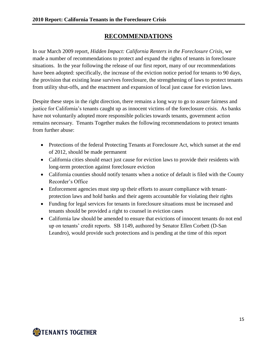# **RECOMMENDATIONS**

In our March 2009 report, *Hidden Impact: California Renters in the Foreclosure Crisis,* we made a number of recommendations to protect and expand the rights of tenants in foreclosure situations. In the year following the release of our first report, many of our recommendations have been adopted: specifically, the increase of the eviction notice period for tenants to 90 days, the provision that existing lease survives foreclosure, the strengthening of laws to protect tenants from utility shut-offs, and the enactment and expansion of local just cause for eviction laws.

Despite these steps in the right direction, there remains a long way to go to assure fairness and justice for California's tenants caught up as innocent victims of the foreclosure crisis. As banks have not voluntarily adopted more responsible policies towards tenants, government action remains necessary. Tenants Together makes the following recommendations to protect tenants from further abuse:

- Protections of the federal Protecting Tenants at Foreclosure Act, which sunset at the end of 2012, should be made permanent
- California cities should enact just cause for eviction laws to provide their residents with long-term protection against foreclosure eviction
- California counties should notify tenants when a notice of default is filed with the County Recorder"s Office
- Enforcement agencies must step up their efforts to assure compliance with tenantprotection laws and hold banks and their agents accountable for violating their rights
- Funding for legal services for tenants in foreclosure situations must be increased and tenants should be provided a right to counsel in eviction cases
- California law should be amended to ensure that evictions of innocent tenants do not end up on tenants" credit reports. SB 1149, authored by Senator Ellen Corbett (D-San Leandro), would provide such protections and is pending at the time of this report